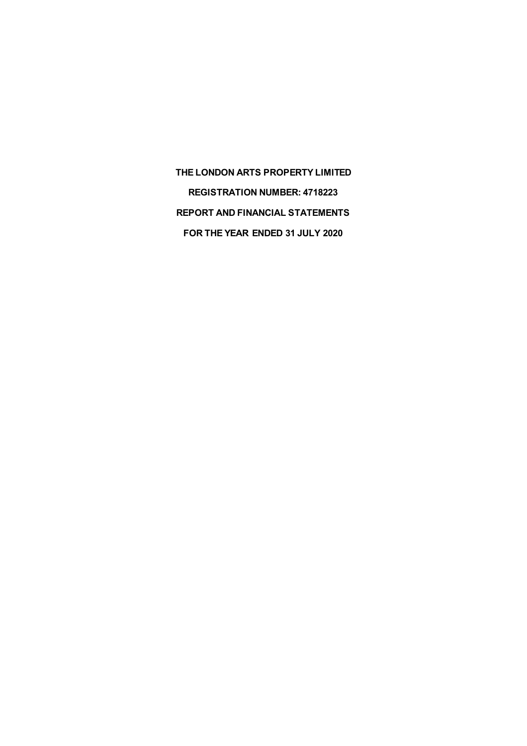**THE LONDON ARTS PROPERTY LIMITED REGISTRATION NUMBER: 4718223 REPORT AND FINANCIAL STATEMENTS FOR THE YEAR ENDED 31 JULY 2020**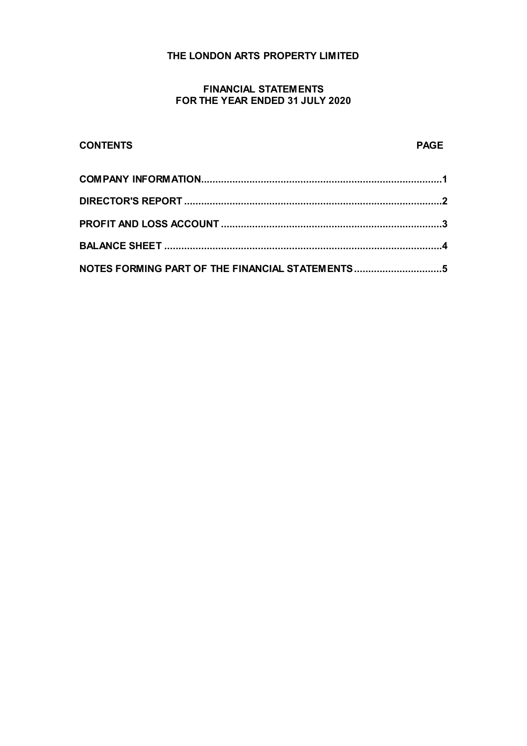## **THE LONDON ARTS PROPERTY LIMITED**

### **FINANCIAL STATEMENTS FOR THE YEAR ENDED 31 JULY 2020**

# **CONTENTS PAGE COMPANY INFORMATION.....................................................................................1 DIRECTOR'S REPORT ...........................................................................................2 PROFIT AND LOSS ACCOUNT ..............................................................................3 BALANCE SHEET ..................................................................................................4 NOTES FORMING PART OF THE FINANCIAL STATEMENTS...............................5**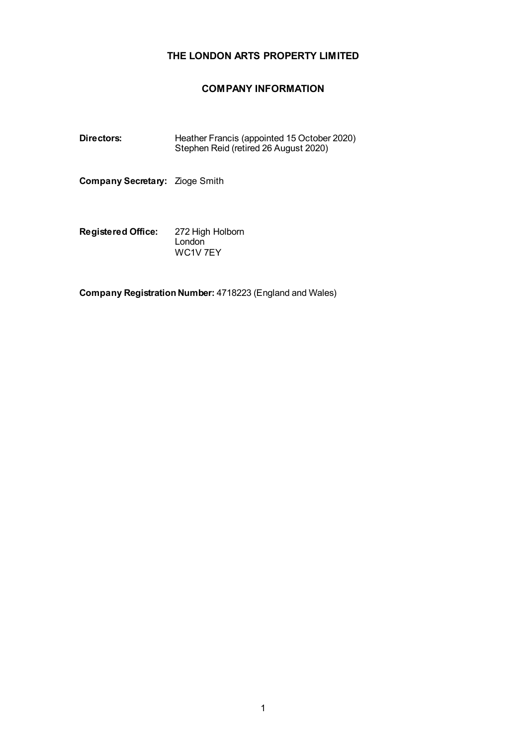# **THE LONDON ARTS PROPERTY LIMITED**

### **COMPANY INFORMATION**

| Directors: | Heather Francis (appointed 15 October 2020) |
|------------|---------------------------------------------|
|            | Stephen Reid (retired 26 August 2020)       |

**Company Secretary:** Zioge Smith

**Registered Office:** 272 High Holborn London WC1V 7EY

**Company Registration Number:** 4718223 (England and Wales)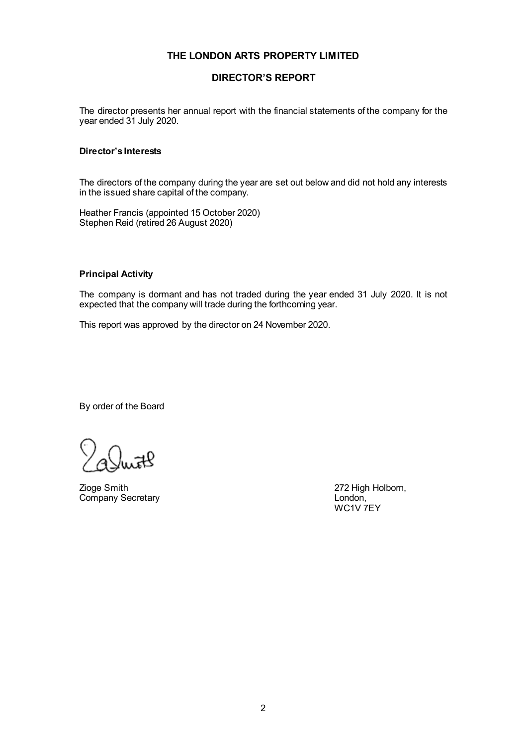## **THE LONDON ARTS PROPERTY LIMITED**

#### **DIRECTOR'S REPORT**

The director presents her annual report with the financial statements of the company for the year ended 31 July 2020.

#### **Director's Interests**

The directors of the company during the year are set out below and did not hold any interests in the issued share capital of the company.

Heather Francis (appointed 15 October 2020) Stephen Reid (retired 26 August 2020)

#### **Principal Activity**

The company is dormant and has not traded during the year ended 31 July 2020. It is not expected that the company will trade during the forthcoming year.

This report was approved by the director on 24 November 2020.

By order of the Board

Zioge Smith 272 High Holborn, 272 High Holborn, 272 High Holborn, 272 High Holborn, Company Secretary

WC1V 7EY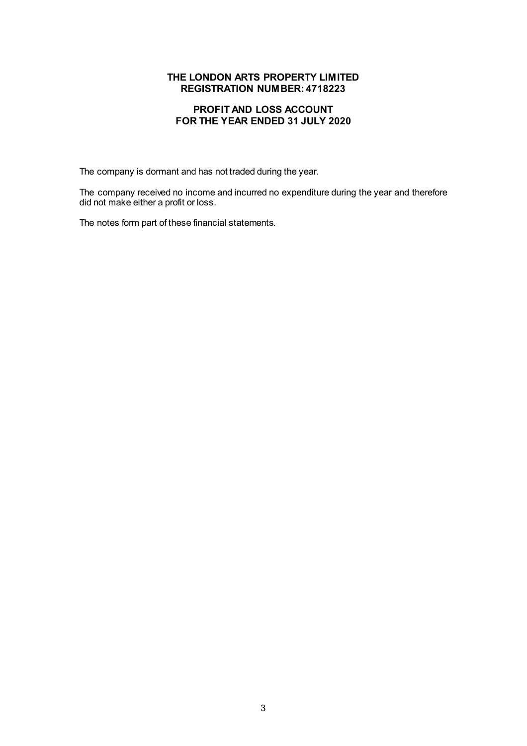#### **THE LONDON ARTS PROPERTY LIMITED REGISTRATION NUMBER: 4718223**

#### **PROFIT AND LOSS ACCOUNT FOR THE YEAR ENDED 31 JULY 2020**

The company is dormant and has not traded during the year.

The company received no income and incurred no expenditure during the year and therefore did not make either a profit or loss.

The notes form part of these financial statements.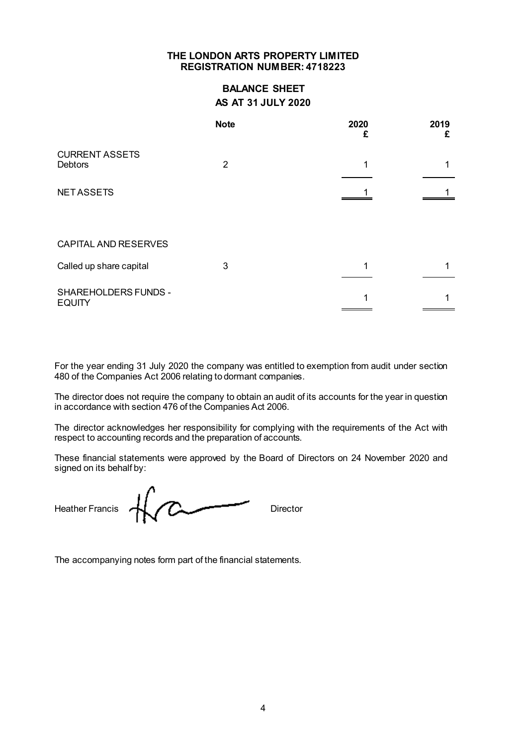#### **THE LONDON ARTS PROPERTY LIMITED REGISTRATION NUMBER: 4718223**

# **BALANCE SHEET AS AT 31 JULY 2020**

|                                         | <b>Note</b> | 2020<br>£ | 2019<br>£ |
|-----------------------------------------|-------------|-----------|-----------|
| <b>CURRENT ASSETS</b><br><b>Debtors</b> | 2           | 1         |           |
| <b>NETASSETS</b>                        |             |           |           |
|                                         |             |           |           |
| <b>CAPITAL AND RESERVES</b>             |             |           |           |
| Called up share capital                 | 3           |           |           |
| SHAREHOLDERS FUNDS -<br><b>EQUITY</b>   |             |           |           |

For the year ending 31 July 2020 the company was entitled to exemption from audit under section 480 of the Companies Act 2006 relating to dormant companies.

The director does not require the company to obtain an audit of its accounts for the year in question in accordance with section 476 of the Companies Act 2006.

The director acknowledges her responsibility for complying with the requirements of the Act with respect to accounting records and the preparation of accounts.

These financial statements were approved by the Board of Directors on 24 November 2020 and signed on its behalf by:

Heather Francis **H A** 

The accompanying notes form part of the financial statements.